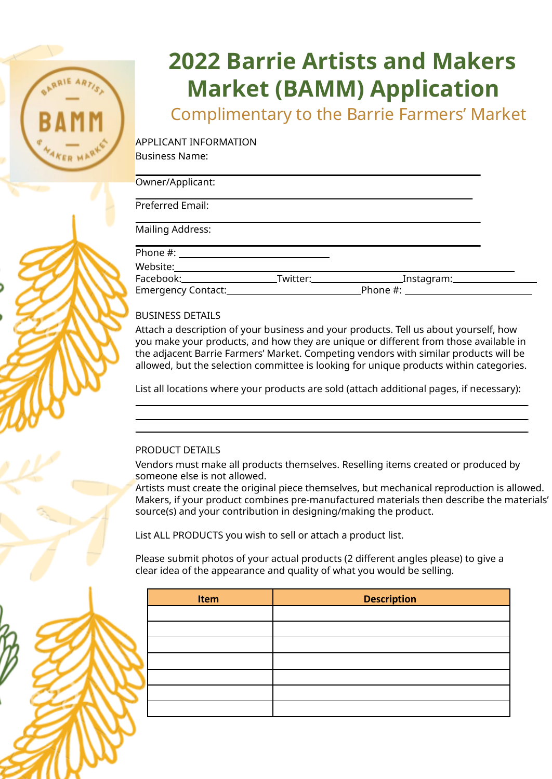# **2022 Barrie Artists and Makers Market (BAMM) Application**

Complimentary to the Barrie Farmers' Market

APPLICANT INFORMATION Business Name:

| Owner/Applicant:          |                      |                          |  |
|---------------------------|----------------------|--------------------------|--|
| Preferred Email:          |                      |                          |  |
| <b>Mailing Address:</b>   |                      |                          |  |
|                           |                      |                          |  |
| Website:                  |                      |                          |  |
| Facebook:_____________    | Twitter:____________ | ____Instagram:__________ |  |
| <b>Emergency Contact:</b> |                      | Phone #:                 |  |

## BUSINESS DETAILS

Attach a description of your business and your products. Tell us about yourself, how you make your products, and how they are unique or different from those available in the adjacent Barrie Farmers' Market. Competing vendors with similar products will be allowed, but the selection committee is looking for unique products within categories.

List all locations where your products are sold (attach additional pages, if necessary):

### PRODUCT DETAILS

Vendors must make all products themselves. Reselling items created or produced by someone else is not allowed.

Artists must create the original piece themselves, but mechanical reproduction is allowed. Makers, if your product combines pre-manufactured materials then describe the materials' source(s) and your contribution in designing/making the product.

List ALL PRODUCTS you wish to sell or attach a product list.

Please submit photos of your actual products (2 different angles please) to give a clear idea of the appearance and quality of what you would be selling.

| Item | <b>Description</b> |  |
|------|--------------------|--|
|      |                    |  |
|      |                    |  |
|      |                    |  |
|      |                    |  |
|      |                    |  |
|      |                    |  |
|      |                    |  |

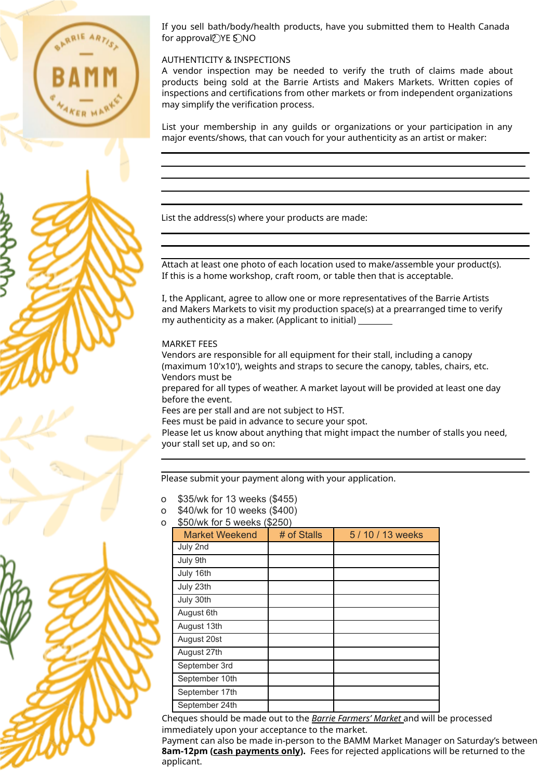

If you sell bath/body/health products, have you submitted them to Health Canada for approval? YE S NO

#### AUTHENTICITY & INSPECTIONS

A vendor inspection may be needed to verify the truth of claims made about products being sold at the Barrie Artists and Makers Markets. Written copies of inspections and certifications from other markets or from independent organizations may simplify the verification process.

List your membership in any guilds or organizations or your participation in any major events/shows, that can vouch for your authenticity as an artist or maker:

List the address(s) where your products are made:

Attach at least one photo of each location used to make/assemble your product(s). If this is a home workshop, craft room, or table then that is acceptable.

I, the Applicant, agree to allow one or more representatives of the Barrie Artists and Makers Markets to visit my production space(s) at a prearranged time to verify my authenticity as a maker. (Applicant to initial)

#### MARKET FEES

Vendors are responsible for all equipment for their stall, including a canopy (maximum 10'x10'), weights and straps to secure the canopy, tables, chairs, etc. Vendors must be

prepared for all types of weather. A market layout will be provided at least one day before the event.

Fees are per stall and are not subject to HST.

Fees must be paid in advance to secure your spot.

Please let us know about anything that might impact the number of stalls you need, your stall set up, and so on:

Please submit your payment along with your application.

- o \$35/wk for 13 weeks (\$455)
- \$40/wk for 10 weeks (\$400)
- \$50/wk for 5 weeks (\$250)

| woo, without of woonto tweloo<br><b>Market Weekend</b> | # of Stalls | 5 / 10 / 13 weeks |
|--------------------------------------------------------|-------------|-------------------|
| July 2nd                                               |             |                   |
| July 9th                                               |             |                   |
| July 16th                                              |             |                   |
| July 23th                                              |             |                   |
| July 30th                                              |             |                   |
| August 6th                                             |             |                   |
| August 13th                                            |             |                   |
| August 20st                                            |             |                   |
| August 27th                                            |             |                   |
| September 3rd                                          |             |                   |
| September 10th                                         |             |                   |
| September 17th                                         |             |                   |
| September 24th                                         |             |                   |

Cheques should be made out to the *Barrie Farmers' Market* and will be processed immediately upon your acceptance to the market.

Payment can also be made in-person to the BAMM Market Manager on Saturday's between **8am-12pm (cash payments only).** Fees for rejected applications will be returned to the applicant.

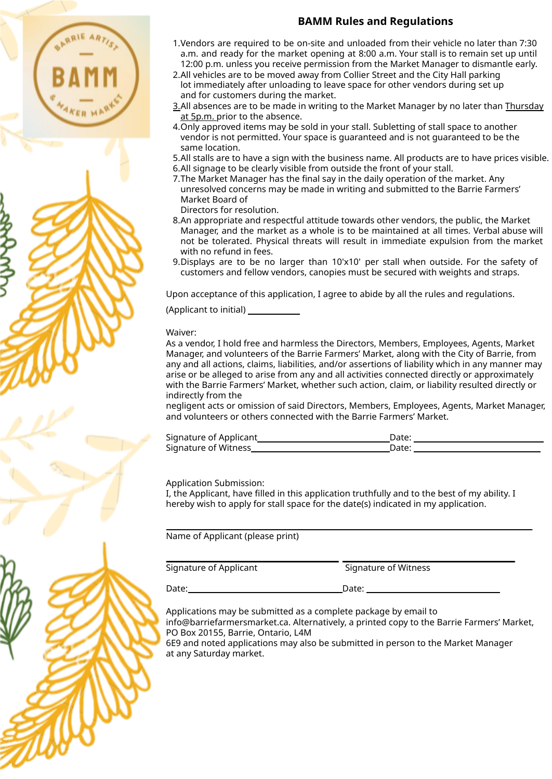## **BAMM Rules and Regulations**

- 1.Vendors are required to be on-site and unloaded from their vehicle no later than 7:30 a.m. and ready for the market opening at 8:00 a.m. Your stall is to remain set up until 12:00 p.m. unless you receive permission from the Market Manager to dismantle early.
- 2.All vehicles are to be moved away from Collier Street and the City Hall parking lot immediately after unloading to leave space for other vendors during set up and for customers during the market.
- 3.All absences are to be made in writing to the Market Manager by no later than Thursday at 5p.m. prior to the absence.
- 4.Only approved items may be sold in your stall. Subletting of stall space to another vendor is not permitted. Your space is guaranteed and is not guaranteed to be the same location.
- 5.All stalls are to have a sign with the business name. All products are to have prices visible.
- 6.All signage to be clearly visible from outside the front of your stall.
- 7.The Market Manager has the final say in the daily operation of the market. Any unresolved concerns may be made in writing and submitted to the Barrie Farmers' Market Board of
- Directors for resolution.
- 8.An appropriate and respectful attitude towards other vendors, the public, the Market Manager, and the market as a whole is to be maintained at all times. Verbal abuse will not be tolerated. Physical threats will result in immediate expulsion from the market with no refund in fees.
- 9.Displays are to be no larger than 10'x10' per stall when outside. For the safety of customers and fellow vendors, canopies must be secured with weights and straps.

Upon acceptance of this application, I agree to abide by all the rules and regulations.

(Applicant to initial) \_\_\_\_\_

Waiver:

As a vendor, I hold free and harmless the Directors, Members, Employees, Agents, Market Manager, and volunteers of the Barrie Farmers' Market, along with the City of Barrie, from any and all actions, claims, liabilities, and/or assertions of liability which in any manner may arise or be alleged to arise from any and all activities connected directly or approximately with the Barrie Farmers' Market, whether such action, claim, or liability resulted directly or indirectly from the

negligent acts or omission of said Directors, Members, Employees, Agents, Market Manager, and volunteers or others connected with the Barrie Farmers' Market.

| Signature of Applicant | Date: |  |
|------------------------|-------|--|
| Signature of Witness   | Date: |  |

Application Submission:

I, the Applicant, have filled in this application truthfully and to the best of my ability. I hereby wish to apply for stall space for the date(s) indicated in my application.

Name of Applicant (please print)

Signature of Applicant Signature of Witness Date: Date:

Applications may be submitted as a complete package by email to

[info@barriefarmersmarket.ca.](mailto:info@barriefarmersmarket.ca) Alternatively, a printed copy to the Barrie Farmers' Market, PO Box 20155, Barrie, Ontario, L4M

6E9 and noted applications may also be submitted in person to the Market Manager at any Saturday market.